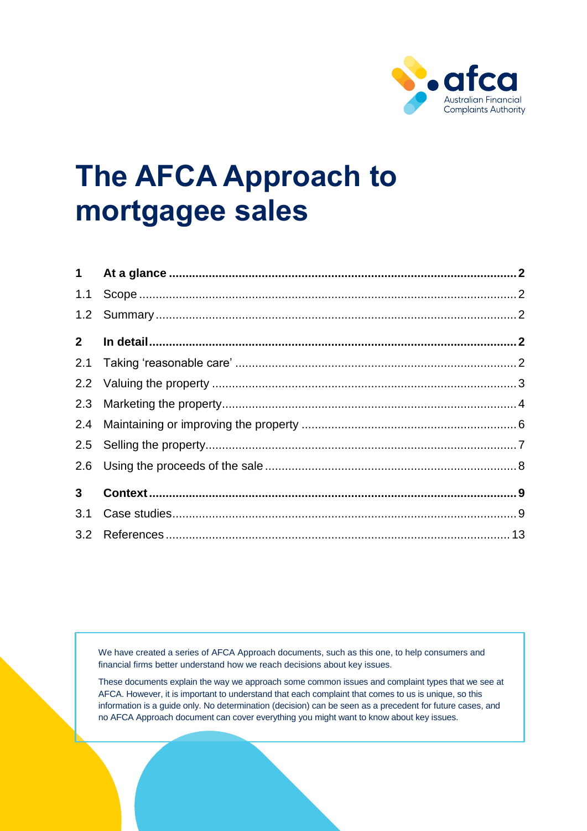

# **The AFCA Approach to mortgagee sales**

| $2^{\circ}$    |  |
|----------------|--|
|                |  |
|                |  |
|                |  |
|                |  |
|                |  |
|                |  |
| 3 <sup>1</sup> |  |
|                |  |
|                |  |

We have created a series of AFCA Approach documents, such as this one, to help consumers and financial firms better understand how we reach decisions about key issues.

These documents explain the way we approach some common issues and complaint types that we see at AFCA. However, it is important to understand that each complaint that comes to us is unique, so this information is a guide only. No determination (decision) can be seen as a precedent for future cases, and no AFCA Approach document can cover everything you might want to know about key issues.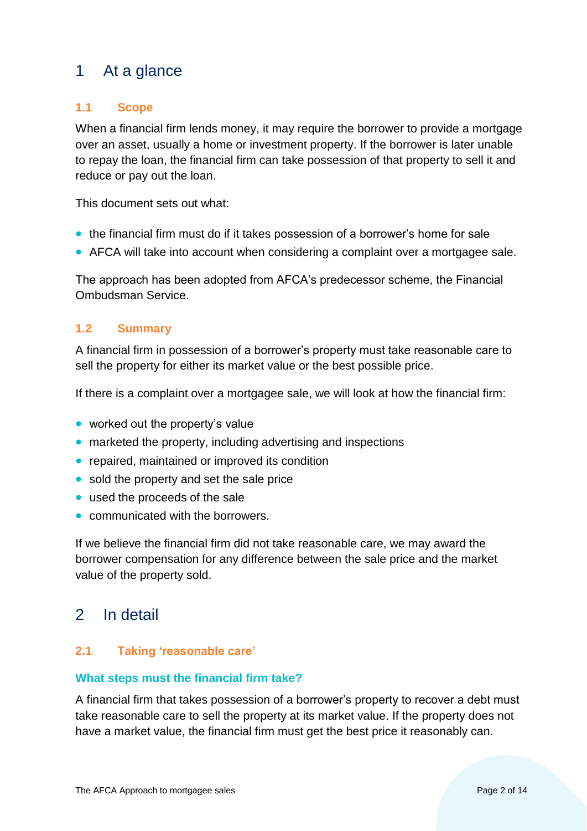# <span id="page-1-0"></span>1 At a glance

# <span id="page-1-1"></span>**1.1 Scope**

When a financial firm lends money, it may require the borrower to provide a mortgage over an asset, usually a home or investment property. If the borrower is later unable to repay the loan, the financial firm can take possession of that property to sell it and reduce or pay out the loan.

This document sets out what:

- the financial firm must do if it takes possession of a borrower's home for sale
- AFCA will take into account when considering a complaint over a mortgagee sale.

The approach has been adopted from AFCA's predecessor scheme, the Financial Ombudsman Service.

# <span id="page-1-2"></span>**1.2 Summary**

A financial firm in possession of a borrower's property must take reasonable care to sell the property for either its market value or the best possible price.

If there is a complaint over a mortgagee sale, we will look at how the financial firm:

- worked out the property's value
- marketed the property, including advertising and inspections
- repaired, maintained or improved its condition
- sold the property and set the sale price
- used the proceeds of the sale
- communicated with the borrowers.

If we believe the financial firm did not take reasonable care, we may award the borrower compensation for any difference between the sale price and the market value of the property sold.

# <span id="page-1-3"></span>2 In detail

## <span id="page-1-4"></span>**2.1 Taking 'reasonable care'**

#### **What steps must the financial firm take?**

A financial firm that takes possession of a borrower's property to recover a debt must take reasonable care to sell the property at its market value. If the property does not have a market value, the financial firm must get the best price it reasonably can.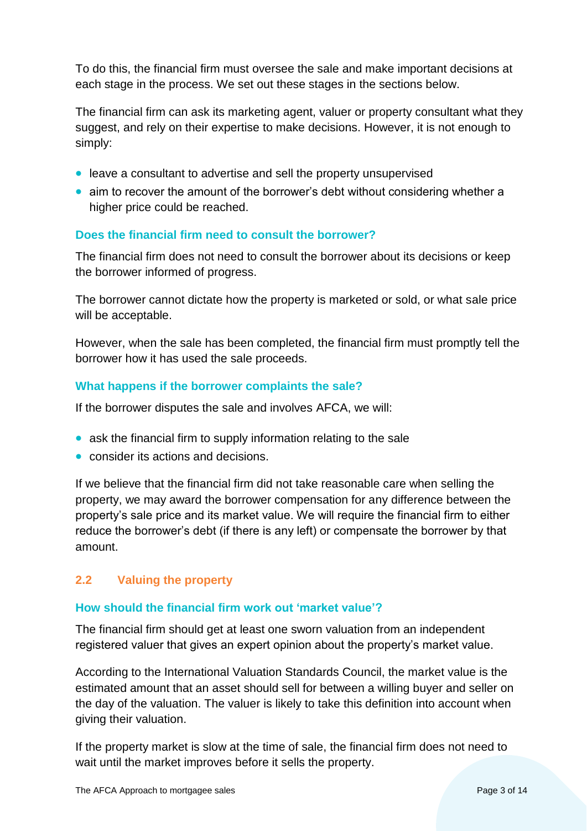To do this, the financial firm must oversee the sale and make important decisions at each stage in the process. We set out these stages in the sections below.

The financial firm can ask its marketing agent, valuer or property consultant what they suggest, and rely on their expertise to make decisions. However, it is not enough to simply:

- leave a consultant to advertise and sell the property unsupervised
- aim to recover the amount of the borrower's debt without considering whether a higher price could be reached.

# **Does the financial firm need to consult the borrower?**

The financial firm does not need to consult the borrower about its decisions or keep the borrower informed of progress.

The borrower cannot dictate how the property is marketed or sold, or what sale price will be acceptable.

However, when the sale has been completed, the financial firm must promptly tell the borrower how it has used the sale proceeds.

# **What happens if the borrower complaints the sale?**

If the borrower disputes the sale and involves AFCA, we will:

- ask the financial firm to supply information relating to the sale
- consider its actions and decisions.

If we believe that the financial firm did not take reasonable care when selling the property, we may award the borrower compensation for any difference between the property's sale price and its market value. We will require the financial firm to either reduce the borrower's debt (if there is any left) or compensate the borrower by that amount.

# <span id="page-2-0"></span>**2.2 Valuing the property**

## **How should the financial firm work out 'market value'?**

The financial firm should get at least one sworn valuation from an independent registered valuer that gives an expert opinion about the property's market value.

According to the International Valuation Standards Council, the market value is the estimated amount that an asset should sell for between a willing buyer and seller on the day of the valuation. The valuer is likely to take this definition into account when giving their valuation.

If the property market is slow at the time of sale, the financial firm does not need to wait until the market improves before it sells the property.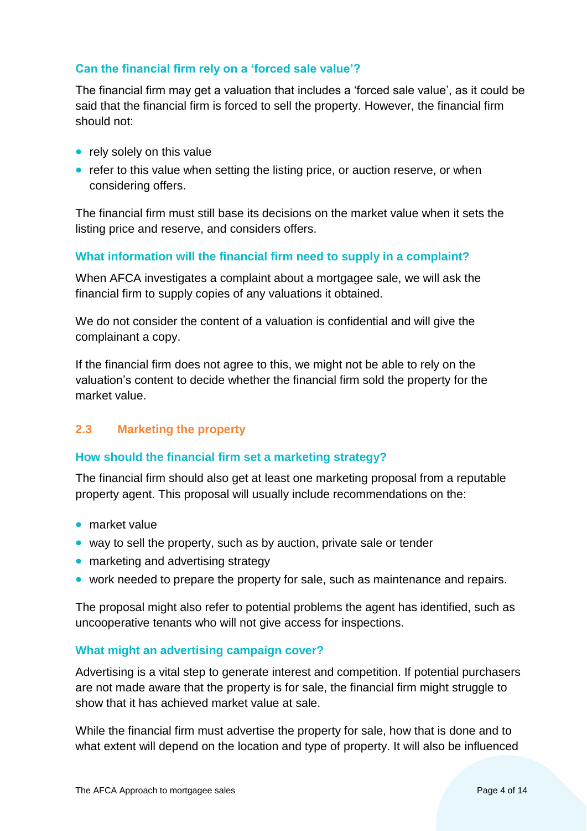# **Can the financial firm rely on a 'forced sale value'?**

The financial firm may get a valuation that includes a 'forced sale value', as it could be said that the financial firm is forced to sell the property. However, the financial firm should not:

- rely solely on this value
- refer to this value when setting the listing price, or auction reserve, or when considering offers.

The financial firm must still base its decisions on the market value when it sets the listing price and reserve, and considers offers.

## **What information will the financial firm need to supply in a complaint?**

When AFCA investigates a complaint about a mortgagee sale, we will ask the financial firm to supply copies of any valuations it obtained.

We do not consider the content of a valuation is confidential and will give the complainant a copy.

If the financial firm does not agree to this, we might not be able to rely on the valuation's content to decide whether the financial firm sold the property for the market value.

# <span id="page-3-0"></span>**2.3 Marketing the property**

## **How should the financial firm set a marketing strategy?**

The financial firm should also get at least one marketing proposal from a reputable property agent. This proposal will usually include recommendations on the:

- market value
- way to sell the property, such as by auction, private sale or tender
- marketing and advertising strategy
- work needed to prepare the property for sale, such as maintenance and repairs.

The proposal might also refer to potential problems the agent has identified, such as uncooperative tenants who will not give access for inspections.

## **What might an advertising campaign cover?**

Advertising is a vital step to generate interest and competition. If potential purchasers are not made aware that the property is for sale, the financial firm might struggle to show that it has achieved market value at sale.

While the financial firm must advertise the property for sale, how that is done and to what extent will depend on the location and type of property. It will also be influenced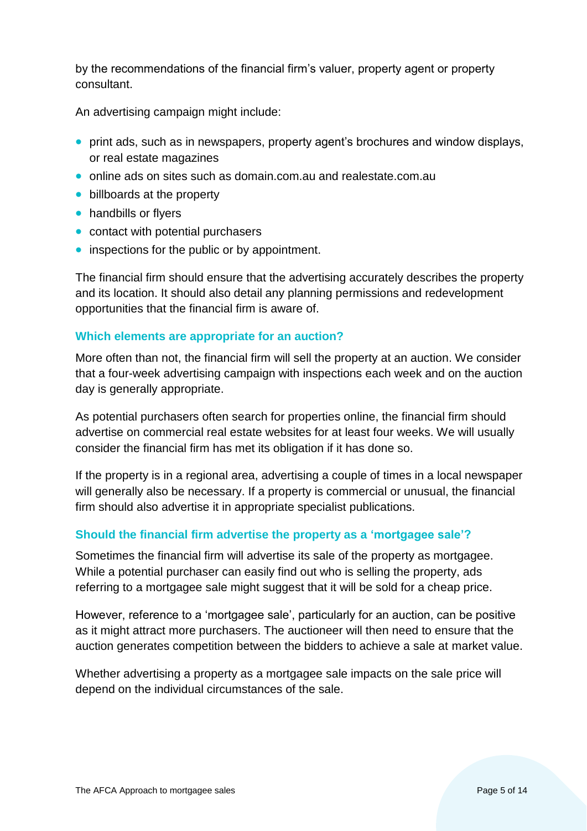by the recommendations of the financial firm's valuer, property agent or property consultant.

An advertising campaign might include:

- print ads, such as in newspapers, property agent's brochures and window displays, or real estate magazines
- online ads on sites such as domain.com.au and realestate.com.au
- billboards at the property
- handbills or flyers
- contact with potential purchasers
- inspections for the public or by appointment.

The financial firm should ensure that the advertising accurately describes the property and its location. It should also detail any planning permissions and redevelopment opportunities that the financial firm is aware of.

## **Which elements are appropriate for an auction?**

More often than not, the financial firm will sell the property at an auction. We consider that a four-week advertising campaign with inspections each week and on the auction day is generally appropriate.

As potential purchasers often search for properties online, the financial firm should advertise on commercial real estate websites for at least four weeks. We will usually consider the financial firm has met its obligation if it has done so.

If the property is in a regional area, advertising a couple of times in a local newspaper will generally also be necessary. If a property is commercial or unusual, the financial firm should also advertise it in appropriate specialist publications.

# **Should the financial firm advertise the property as a 'mortgagee sale'?**

Sometimes the financial firm will advertise its sale of the property as mortgagee. While a potential purchaser can easily find out who is selling the property, ads referring to a mortgagee sale might suggest that it will be sold for a cheap price.

However, reference to a 'mortgagee sale', particularly for an auction, can be positive as it might attract more purchasers. The auctioneer will then need to ensure that the auction generates competition between the bidders to achieve a sale at market value.

Whether advertising a property as a mortgagee sale impacts on the sale price will depend on the individual circumstances of the sale.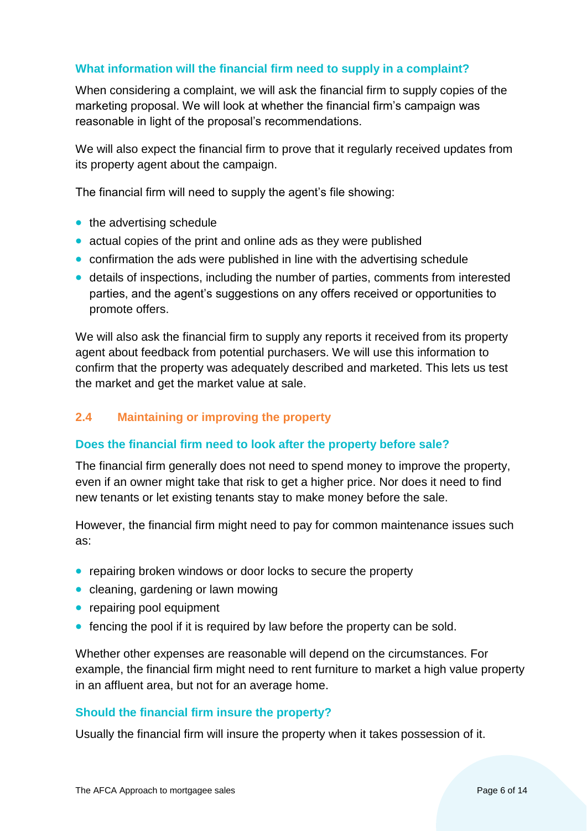# **What information will the financial firm need to supply in a complaint?**

When considering a complaint, we will ask the financial firm to supply copies of the marketing proposal. We will look at whether the financial firm's campaign was reasonable in light of the proposal's recommendations.

We will also expect the financial firm to prove that it regularly received updates from its property agent about the campaign.

The financial firm will need to supply the agent's file showing:

- the advertising schedule
- actual copies of the print and online ads as they were published
- confirmation the ads were published in line with the advertising schedule
- details of inspections, including the number of parties, comments from interested parties, and the agent's suggestions on any offers received or opportunities to promote offers.

We will also ask the financial firm to supply any reports it received from its property agent about feedback from potential purchasers. We will use this information to confirm that the property was adequately described and marketed. This lets us test the market and get the market value at sale.

# <span id="page-5-0"></span>**2.4 Maintaining or improving the property**

## **Does the financial firm need to look after the property before sale?**

The financial firm generally does not need to spend money to improve the property, even if an owner might take that risk to get a higher price. Nor does it need to find new tenants or let existing tenants stay to make money before the sale.

However, the financial firm might need to pay for common maintenance issues such as:

- repairing broken windows or door locks to secure the property
- cleaning, gardening or lawn mowing
- repairing pool equipment
- fencing the pool if it is required by law before the property can be sold.

Whether other expenses are reasonable will depend on the circumstances. For example, the financial firm might need to rent furniture to market a high value property in an affluent area, but not for an average home.

## **Should the financial firm insure the property?**

Usually the financial firm will insure the property when it takes possession of it.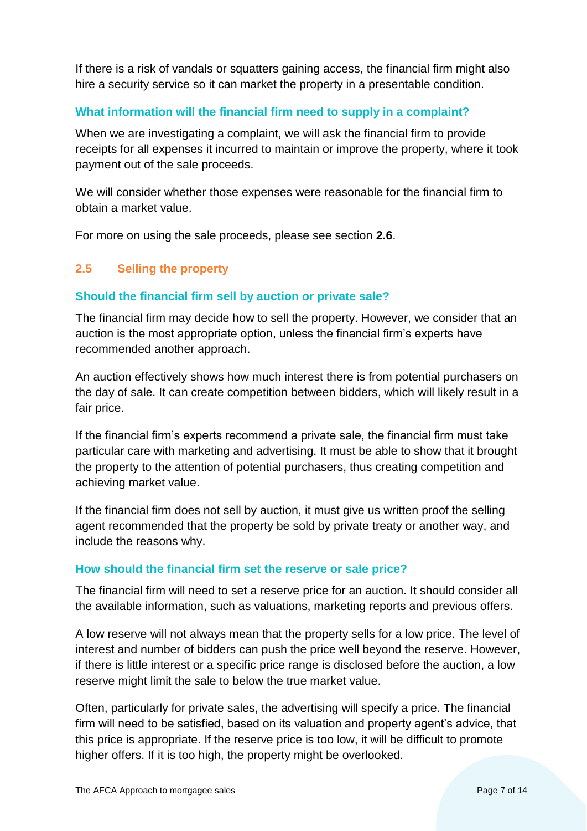If there is a risk of vandals or squatters gaining access, the financial firm might also hire a security service so it can market the property in a presentable condition.

# **What information will the financial firm need to supply in a complaint?**

When we are investigating a complaint, we will ask the financial firm to provide receipts for all expenses it incurred to maintain or improve the property, where it took payment out of the sale proceeds.

We will consider whether those expenses were reasonable for the financial firm to obtain a market value.

For more on using the sale proceeds, please see section **2.6**.

# <span id="page-6-0"></span>**2.5 Selling the property**

## **Should the financial firm sell by auction or private sale?**

The financial firm may decide how to sell the property. However, we consider that an auction is the most appropriate option, unless the financial firm's experts have recommended another approach.

An auction effectively shows how much interest there is from potential purchasers on the day of sale. It can create competition between bidders, which will likely result in a fair price.

If the financial firm's experts recommend a private sale, the financial firm must take particular care with marketing and advertising. It must be able to show that it brought the property to the attention of potential purchasers, thus creating competition and achieving market value.

If the financial firm does not sell by auction, it must give us written proof the selling agent recommended that the property be sold by private treaty or another way, and include the reasons why.

#### **How should the financial firm set the reserve or sale price?**

The financial firm will need to set a reserve price for an auction. It should consider all the available information, such as valuations, marketing reports and previous offers.

A low reserve will not always mean that the property sells for a low price. The level of interest and number of bidders can push the price well beyond the reserve. However, if there is little interest or a specific price range is disclosed before the auction, a low reserve might limit the sale to below the true market value.

Often, particularly for private sales, the advertising will specify a price. The financial firm will need to be satisfied, based on its valuation and property agent's advice, that this price is appropriate. If the reserve price is too low, it will be difficult to promote higher offers. If it is too high, the property might be overlooked.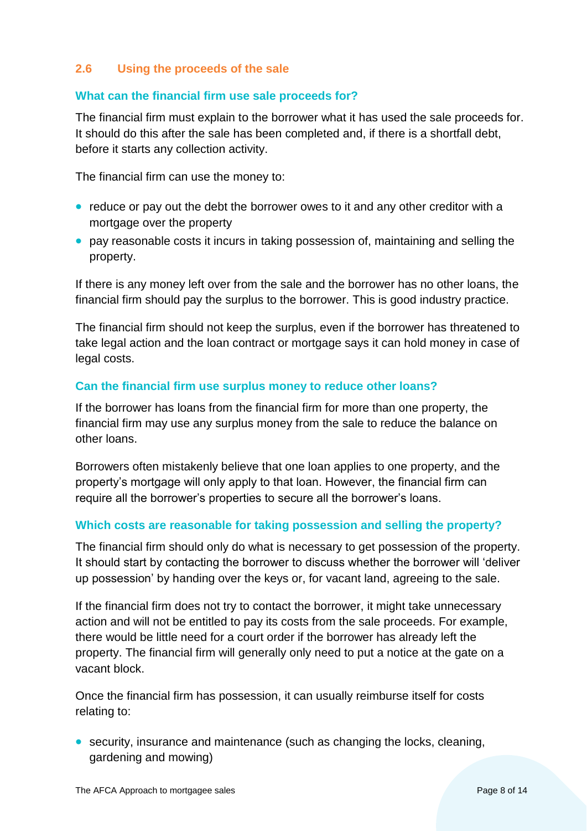# <span id="page-7-0"></span>**2.6 Using the proceeds of the sale**

## **What can the financial firm use sale proceeds for?**

The financial firm must explain to the borrower what it has used the sale proceeds for. It should do this after the sale has been completed and, if there is a shortfall debt, before it starts any collection activity.

The financial firm can use the money to:

- reduce or pay out the debt the borrower owes to it and any other creditor with a mortgage over the property
- pay reasonable costs it incurs in taking possession of, maintaining and selling the property.

If there is any money left over from the sale and the borrower has no other loans, the financial firm should pay the surplus to the borrower. This is good industry practice.

The financial firm should not keep the surplus, even if the borrower has threatened to take legal action and the loan contract or mortgage says it can hold money in case of legal costs.

## **Can the financial firm use surplus money to reduce other loans?**

If the borrower has loans from the financial firm for more than one property, the financial firm may use any surplus money from the sale to reduce the balance on other loans.

Borrowers often mistakenly believe that one loan applies to one property, and the property's mortgage will only apply to that loan. However, the financial firm can require all the borrower's properties to secure all the borrower's loans.

## **Which costs are reasonable for taking possession and selling the property?**

The financial firm should only do what is necessary to get possession of the property. It should start by contacting the borrower to discuss whether the borrower will 'deliver up possession' by handing over the keys or, for vacant land, agreeing to the sale.

If the financial firm does not try to contact the borrower, it might take unnecessary action and will not be entitled to pay its costs from the sale proceeds. For example, there would be little need for a court order if the borrower has already left the property. The financial firm will generally only need to put a notice at the gate on a vacant block.

Once the financial firm has possession, it can usually reimburse itself for costs relating to:

• security, insurance and maintenance (such as changing the locks, cleaning, gardening and mowing)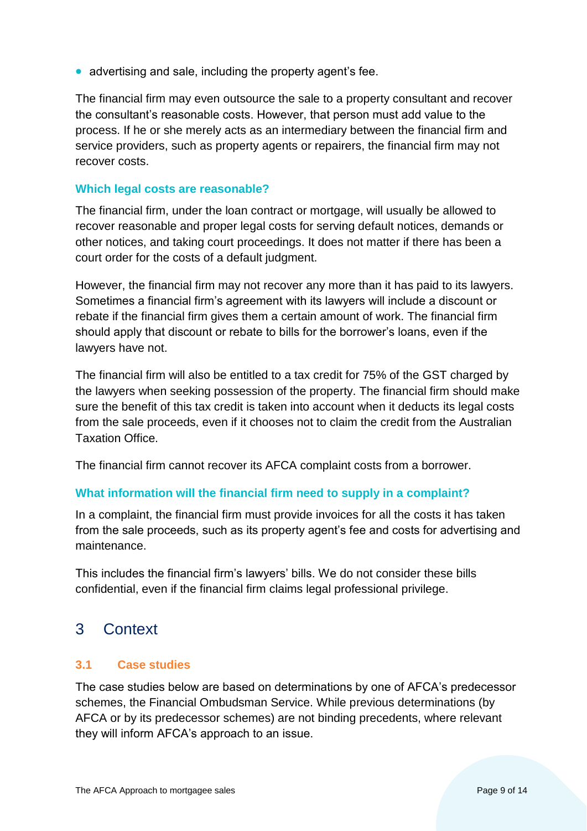• advertising and sale, including the property agent's fee.

The financial firm may even outsource the sale to a property consultant and recover the consultant's reasonable costs. However, that person must add value to the process. If he or she merely acts as an intermediary between the financial firm and service providers, such as property agents or repairers, the financial firm may not recover costs.

## **Which legal costs are reasonable?**

The financial firm, under the loan contract or mortgage, will usually be allowed to recover reasonable and proper legal costs for serving default notices, demands or other notices, and taking court proceedings. It does not matter if there has been a court order for the costs of a default judgment.

However, the financial firm may not recover any more than it has paid to its lawyers. Sometimes a financial firm's agreement with its lawyers will include a discount or rebate if the financial firm gives them a certain amount of work. The financial firm should apply that discount or rebate to bills for the borrower's loans, even if the lawyers have not.

The financial firm will also be entitled to a tax credit for 75% of the GST charged by the lawyers when seeking possession of the property. The financial firm should make sure the benefit of this tax credit is taken into account when it deducts its legal costs from the sale proceeds, even if it chooses not to claim the credit from the Australian Taxation Office.

The financial firm cannot recover its AFCA complaint costs from a borrower.

## **What information will the financial firm need to supply in a complaint?**

In a complaint, the financial firm must provide invoices for all the costs it has taken from the sale proceeds, such as its property agent's fee and costs for advertising and maintenance.

This includes the financial firm's lawyers' bills. We do not consider these bills confidential, even if the financial firm claims legal professional privilege.

# <span id="page-8-0"></span>3 Context

## <span id="page-8-1"></span>**3.1 Case studies**

The case studies below are based on determinations by one of AFCA's predecessor schemes, the Financial Ombudsman Service. While previous determinations (by AFCA or by its predecessor schemes) are not binding precedents, where relevant they will inform AFCA's approach to an issue.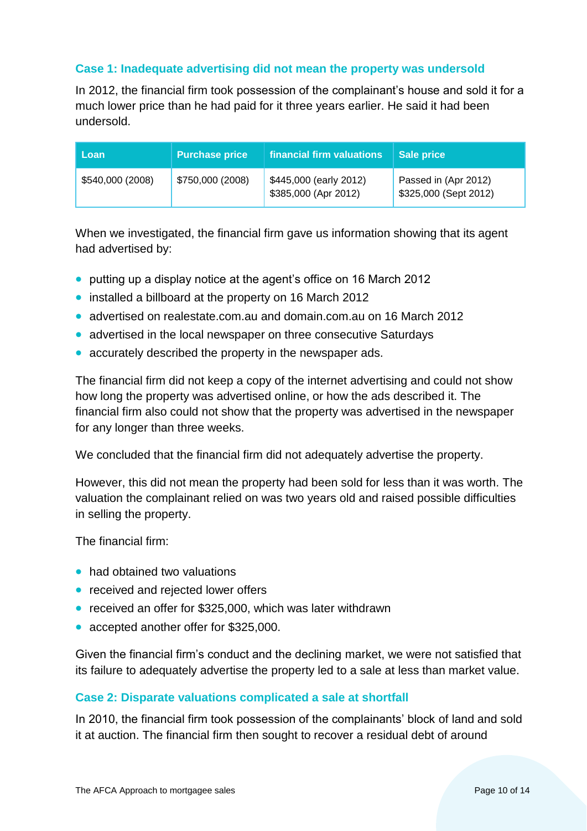# **Case 1: Inadequate advertising did not mean the property was undersold**

In 2012, the financial firm took possession of the complainant's house and sold it for a much lower price than he had paid for it three years earlier. He said it had been undersold.

| Loan             | <b>Purchase price</b> | financial firm valuations                      | <b>Sale price</b>                             |
|------------------|-----------------------|------------------------------------------------|-----------------------------------------------|
| \$540,000 (2008) | \$750,000 (2008)      | \$445,000 (early 2012)<br>\$385,000 (Apr 2012) | Passed in (Apr 2012)<br>\$325,000 (Sept 2012) |

When we investigated, the financial firm gave us information showing that its agent had advertised by:

- putting up a display notice at the agent's office on 16 March 2012
- installed a billboard at the property on 16 March 2012
- advertised on realestate.com.au and domain.com.au on 16 March 2012
- advertised in the local newspaper on three consecutive Saturdays
- accurately described the property in the newspaper ads.

The financial firm did not keep a copy of the internet advertising and could not show how long the property was advertised online, or how the ads described it. The financial firm also could not show that the property was advertised in the newspaper for any longer than three weeks.

We concluded that the financial firm did not adequately advertise the property.

However, this did not mean the property had been sold for less than it was worth. The valuation the complainant relied on was two years old and raised possible difficulties in selling the property.

The financial firm:

- had obtained two valuations
- received and rejected lower offers
- received an offer for \$325,000, which was later withdrawn
- accepted another offer for \$325,000.

Given the financial firm's conduct and the declining market, we were not satisfied that its failure to adequately advertise the property led to a sale at less than market value.

## **Case 2: Disparate valuations complicated a sale at shortfall**

In 2010, the financial firm took possession of the complainants' block of land and sold it at auction. The financial firm then sought to recover a residual debt of around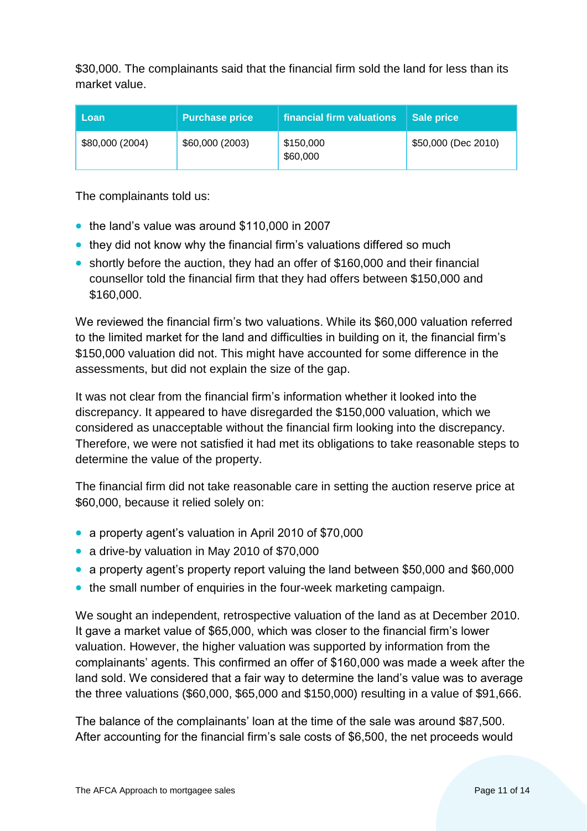\$30,000. The complainants said that the financial firm sold the land for less than its market value.

| l Loan          | <b>Purchase price</b> | financial firm valuations | Sale price          |
|-----------------|-----------------------|---------------------------|---------------------|
| \$80,000 (2004) | \$60,000 (2003)       | \$150,000<br>\$60,000     | \$50,000 (Dec 2010) |

The complainants told us:

- the land's value was around \$110,000 in 2007
- they did not know why the financial firm's valuations differed so much
- shortly before the auction, they had an offer of \$160,000 and their financial counsellor told the financial firm that they had offers between \$150,000 and \$160,000.

We reviewed the financial firm's two valuations. While its \$60,000 valuation referred to the limited market for the land and difficulties in building on it, the financial firm's \$150,000 valuation did not. This might have accounted for some difference in the assessments, but did not explain the size of the gap.

It was not clear from the financial firm's information whether it looked into the discrepancy. It appeared to have disregarded the \$150,000 valuation, which we considered as unacceptable without the financial firm looking into the discrepancy. Therefore, we were not satisfied it had met its obligations to take reasonable steps to determine the value of the property.

The financial firm did not take reasonable care in setting the auction reserve price at \$60,000, because it relied solely on:

- a property agent's valuation in April 2010 of \$70,000
- a drive-by valuation in May 2010 of \$70,000
- a property agent's property report valuing the land between \$50,000 and \$60,000
- the small number of enquiries in the four-week marketing campaign.

We sought an independent, retrospective valuation of the land as at December 2010. It gave a market value of \$65,000, which was closer to the financial firm's lower valuation. However, the higher valuation was supported by information from the complainants' agents. This confirmed an offer of \$160,000 was made a week after the land sold. We considered that a fair way to determine the land's value was to average the three valuations (\$60,000, \$65,000 and \$150,000) resulting in a value of \$91,666.

The balance of the complainants' loan at the time of the sale was around \$87,500. After accounting for the financial firm's sale costs of \$6,500, the net proceeds would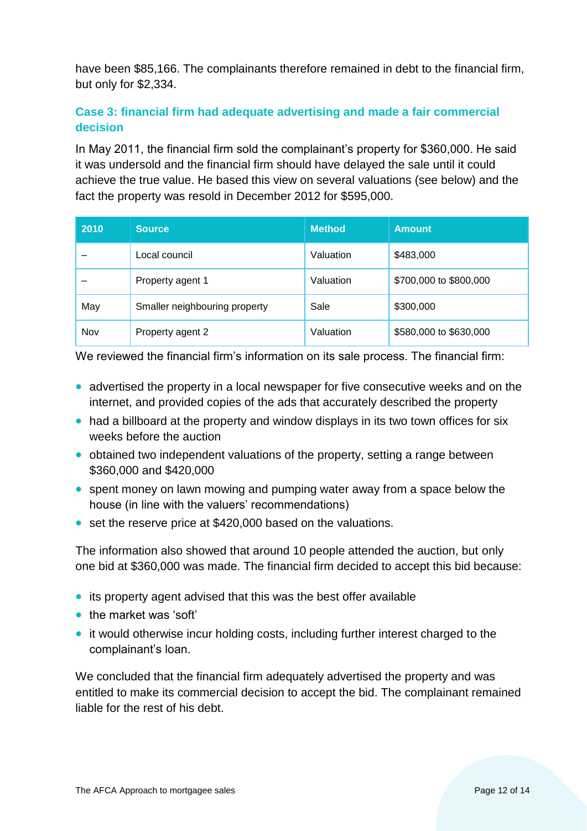have been \$85,166. The complainants therefore remained in debt to the financial firm, but only for \$2,334.

# **Case 3: financial firm had adequate advertising and made a fair commercial decision**

In May 2011, the financial firm sold the complainant's property for \$360,000. He said it was undersold and the financial firm should have delayed the sale until it could achieve the true value. He based this view on several valuations (see below) and the fact the property was resold in December 2012 for \$595,000.

| 2010 | <b>Source</b>                 | <b>Method</b> | <b>Amount</b>          |
|------|-------------------------------|---------------|------------------------|
|      | Local council                 | Valuation     | \$483,000              |
|      | Property agent 1              | Valuation     | \$700,000 to \$800,000 |
| May  | Smaller neighbouring property | Sale          | \$300,000              |
| Nov  | Property agent 2              | Valuation     | \$580,000 to \$630,000 |

We reviewed the financial firm's information on its sale process. The financial firm:

- advertised the property in a local newspaper for five consecutive weeks and on the internet, and provided copies of the ads that accurately described the property
- had a billboard at the property and window displays in its two town offices for six weeks before the auction
- obtained two independent valuations of the property, setting a range between \$360,000 and \$420,000
- spent money on lawn mowing and pumping water away from a space below the house (in line with the valuers' recommendations)
- set the reserve price at \$420,000 based on the valuations.

The information also showed that around 10 people attended the auction, but only one bid at \$360,000 was made. The financial firm decided to accept this bid because:

- its property agent advised that this was the best offer available
- the market was 'soft'
- it would otherwise incur holding costs, including further interest charged to the complainant's loan.

We concluded that the financial firm adequately advertised the property and was entitled to make its commercial decision to accept the bid. The complainant remained liable for the rest of his debt.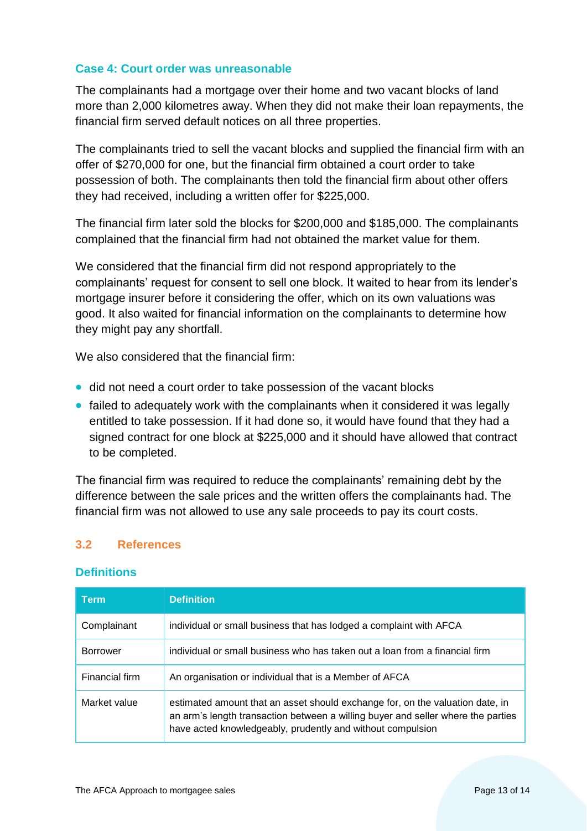# **Case 4: Court order was unreasonable**

The complainants had a mortgage over their home and two vacant blocks of land more than 2,000 kilometres away. When they did not make their loan repayments, the financial firm served default notices on all three properties.

The complainants tried to sell the vacant blocks and supplied the financial firm with an offer of \$270,000 for one, but the financial firm obtained a court order to take possession of both. The complainants then told the financial firm about other offers they had received, including a written offer for \$225,000.

The financial firm later sold the blocks for \$200,000 and \$185,000. The complainants complained that the financial firm had not obtained the market value for them.

We considered that the financial firm did not respond appropriately to the complainants' request for consent to sell one block. It waited to hear from its lender's mortgage insurer before it considering the offer, which on its own valuations was good. It also waited for financial information on the complainants to determine how they might pay any shortfall.

We also considered that the financial firm:

- did not need a court order to take possession of the vacant blocks
- failed to adequately work with the complainants when it considered it was legally entitled to take possession. If it had done so, it would have found that they had a signed contract for one block at \$225,000 and it should have allowed that contract to be completed.

The financial firm was required to reduce the complainants' remaining debt by the difference between the sale prices and the written offers the complainants had. The financial firm was not allowed to use any sale proceeds to pay its court costs.

# <span id="page-12-0"></span>**3.2 References**

#### **Definitions**

| Term            | <b>Definition</b>                                                                                                                                                                                                               |
|-----------------|---------------------------------------------------------------------------------------------------------------------------------------------------------------------------------------------------------------------------------|
| Complainant     | individual or small business that has lodged a complaint with AFCA                                                                                                                                                              |
| <b>Borrower</b> | individual or small business who has taken out a loan from a financial firm                                                                                                                                                     |
| Financial firm  | An organisation or individual that is a Member of AFCA                                                                                                                                                                          |
| Market value    | estimated amount that an asset should exchange for, on the valuation date, in<br>an arm's length transaction between a willing buyer and seller where the parties<br>have acted knowledgeably, prudently and without compulsion |